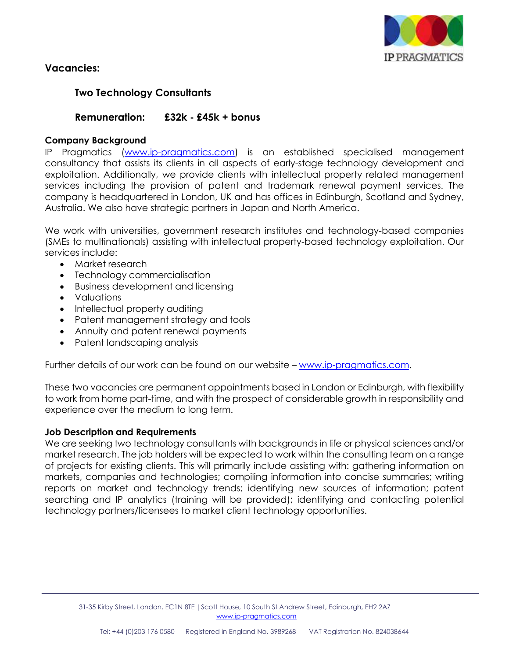

## **Vacancies:**

# **Two Technology Consultants**

## **Remuneration: £32k - £45k + bonus**

#### **Company Background**

IP Pragmatics [\(www.ip-pragmatics.com\)](http://www.ip-pragmatics.com/) is an established specialised management consultancy that assists its clients in all aspects of early-stage technology development and exploitation. Additionally, we provide clients with intellectual property related management services including the provision of patent and trademark renewal payment services. The company is headquartered in London, UK and has offices in Edinburgh, Scotland and Sydney, Australia. We also have strategic partners in Japan and North America.

We work with universities, government research institutes and technology-based companies (SMEs to multinationals) assisting with intellectual property-based technology exploitation. Our services include:

- Market research
- Technology commercialisation
- Business development and licensing
- Valuations
- Intellectual property auditing
- Patent management strategy and tools
- Annuity and patent renewal payments
- Patent landscaping analysis

Further details of our work can be found on our website - [www.ip-pragmatics.com.](http://www.ip-pragmatics.com/)

These two vacancies are permanent appointments based in London or Edinburgh, with flexibility to work from home part-time, and with the prospect of considerable growth in responsibility and experience over the medium to long term.

#### **Job Description and Requirements**

We are seeking two technology consultants with backgrounds in life or physical sciences and/or market research. The job holders will be expected to work within the consulting team on a range of projects for existing clients. This will primarily include assisting with: gathering information on markets, companies and technologies; compiling information into concise summaries; writing reports on market and technology trends; identifying new sources of information; patent searching and IP analytics (training will be provided); identifying and contacting potential technology partners/licensees to market client technology opportunities.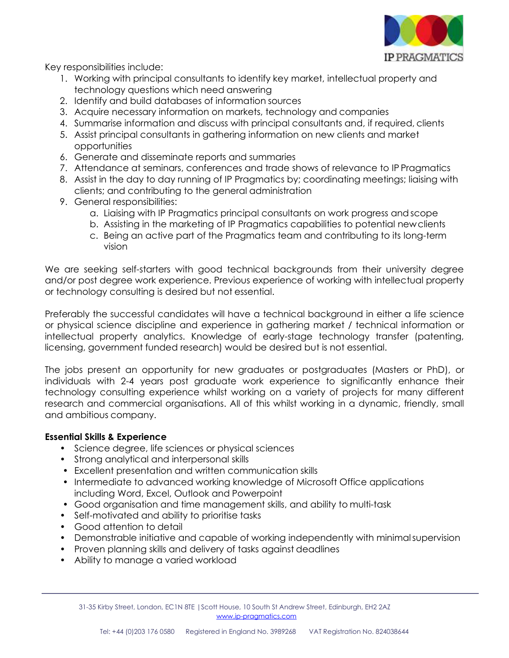

Key responsibilities include:

- 1. Working with principal consultants to identify key market, intellectual property and technology questions which need answering
- 2. Identify and build databases of information sources
- 3. Acquire necessary information on markets, technology and companies
- 4. Summarise information and discuss with principal consultants and, if required, clients
- 5. Assist principal consultants in gathering information on new clients and market opportunities
- 6. Generate and disseminate reports and summaries
- 7. Attendance at seminars, conferences and trade shows of relevance to IP Pragmatics
- 8. Assist in the day to day running of IP Pragmatics by; coordinating meetings; liaising with clients; and contributing to the general administration
- 9. General responsibilities:
	- a. Liaising with IP Pragmatics principal consultants on work progress andscope
	- b. Assisting in the marketing of IP Pragmatics capabilities to potential newclients
	- c. Being an active part of the Pragmatics team and contributing to its long-term vision

We are seeking self-starters with good technical backgrounds from their university degree and/or post degree work experience. Previous experience of working with intellectual property or technology consulting is desired but not essential.

Preferably the successful candidates will have a technical background in either a life science or physical science discipline and experience in gathering market / technical information or intellectual property analytics. Knowledge of early-stage technology transfer (patenting, licensing, government funded research) would be desired but is not essential.

The jobs present an opportunity for new graduates or postgraduates (Masters or PhD), or individuals with 2-4 years post graduate work experience to significantly enhance their technology consulting experience whilst working on a variety of projects for many different research and commercial organisations. All of this whilst working in a dynamic, friendly, small and ambitious company.

## **Essential Skills & Experience**

- Science degree, life sciences or physical sciences
- Strong analytical and interpersonal skills
- Excellent presentation and written communication skills
- Intermediate to advanced working knowledge of Microsoft Office applications including Word, Excel, Outlook and Powerpoint
- Good organisation and time management skills, and ability to multi-task
- Self-motivated and ability to prioritise tasks
- Good attention to detail
- Demonstrable initiative and capable of working independently with minimalsupervision
- Proven planning skills and delivery of tasks against deadlines
- Ability to manage a varied workload

31-35 Kirby Street, London, EC1N 8TE |Scott House, 10 South St Andrew Street, Edinburgh, EH2 2AZ [www.ip-pragmatics.com](http://www.ip-pragmatics.com/)